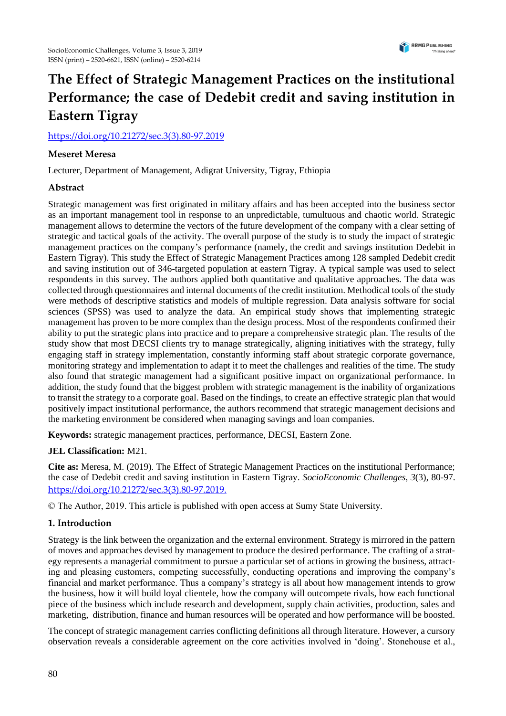

# **The Effect of Strategic Management Practices on the institutional Performance; the case of Dedebit credit and saving institution in Eastern Tigray**

[https://doi.org/10.21272/sec.3\(3\).80-97.2019](https://doi.org/10.21272/sec.3(3).80-97.2019)

## **Meseret Meresa**

Lecturer, Department of Management, Adigrat University, Tigray, Ethiopia

# **Abstract**

Strategic management was first originated in military affairs and has been accepted into the business sector as an important management tool in response to an unpredictable, tumultuous and chaotic world. Strategic management allows to determine the vectors of the future development of the company with a clear setting of strategic and tactical goals of the activity. The overall purpose of the study is to study the impact of strategic management practices on the company's performance (namely, the credit and savings institution Dedebit in Eastern Tigray). This study the Effect of Strategic Management Practices among 128 sampled Dedebit credit and saving institution out of 346-targeted population at eastern Tigray. A typical sample was used to select respondents in this survey. The authors applied both quantitative and qualitative approaches. The data was collected through questionnaires and internal documents of the credit institution. Methodical tools of the study were methods of descriptive statistics and models of multiple regression. Data analysis software for social sciences (SPSS) was used to analyze the data. An empirical study shows that implementing strategic management has proven to be more complex than the design process. Most of the respondents confirmed their ability to put the strategic plans into practice and to prepare a comprehensive strategic plan. The results of the study show that most DECSI clients try to manage strategically, aligning initiatives with the strategy, fully engaging staff in strategy implementation, constantly informing staff about strategic corporate governance, monitoring strategy and implementation to adapt it to meet the challenges and realities of the time. The study also found that strategic management had a significant positive impact on organizational performance. In addition, the study found that the biggest problem with strategic management is the inability of organizations to transit the strategy to a corporate goal. Based on the findings, to create an effective strategic plan that would positively impact institutional performance, the authors recommend that strategic management decisions and the marketing environment be considered when managing savings and loan companies.

**Keywords:** strategic management practices, performance, DECSI, Eastern Zone.

#### **JEL Classification:** M21.

**Cite as:** Meresa, M. (2019). The Effect of Strategic Management Practices on the institutional Performance; the case of Dedebit credit and saving institution in Eastern Tigray. *SocioEconomic Challenges*, *3*(3), 80-97. [https://doi.org/10.21272/sec.3\(3\).80-97.2019](https://doi.org/10.21272/sec.3(3).80-97.2019)[.](https://doi.org/10.21272/sec.3(1).5-27.2019.)

© The Author, 2019. This article is published with open access at Sumy State University.

#### **1. Introduction**

Strategy is the link between the organization and the external environment. Strategy is mirrored in the pattern of moves and approaches devised by management to produce the desired performance. The crafting of a strategy represents a managerial commitment to pursue a particular set of actions in growing the business, attracting and pleasing customers, competing successfully, conducting operations and improving the company's financial and market performance. Thus a company's strategy is all about how management intends to grow the business, how it will build loyal clientele, how the company will outcompete rivals, how each functional piece of the business which include research and development, supply chain activities, production, sales and marketing, distribution, finance and human resources will be operated and how performance will be boosted.

The concept of strategic management carries conflicting definitions all through literature. However, a cursory observation reveals a considerable agreement on the core activities involved in 'doing'. Stonehouse et al.,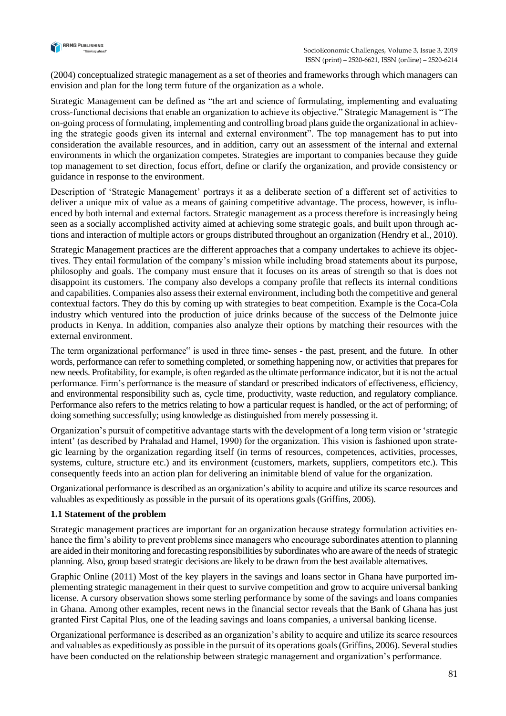

(2004) conceptualized strategic management as a set of theories and frameworks through which managers can envision and plan for the long term future of the organization as a whole.

Strategic Management can be defined as "the art and science of formulating, implementing and evaluating cross-functional decisions that enable an organization to achieve its objective." Strategic Management is "The on-going process of formulating, implementing and controlling broad plans guide the organizational in achieving the strategic goods given its internal and external environment". The top management has to put into consideration the available resources, and in addition, carry out an assessment of the internal and external environments in which the organization competes. Strategies are important to companies because they guide top management to set direction, focus effort, define or clarify the organization, and provide consistency or guidance in response to the environment.

Description of 'Strategic Management' portrays it as a deliberate section of a different set of activities to deliver a unique mix of value as a means of gaining competitive advantage. The process, however, is influenced by both internal and external factors. Strategic management as a process therefore is increasingly being seen as a socially accomplished activity aimed at achieving some strategic goals, and built upon through actions and interaction of multiple actors or groups distributed throughout an organization (Hendry et al., 2010).

Strategic Management practices are the different approaches that a company undertakes to achieve its objectives. They entail formulation of the company's mission while including broad statements about its purpose, philosophy and goals. The company must ensure that it focuses on its areas of strength so that is does not disappoint its customers. The company also develops a company profile that reflects its internal conditions and capabilities. Companies also assess their external environment, including both the competitive and general contextual factors. They do this by coming up with strategies to beat competition. Example is the Coca-Cola industry which ventured into the production of juice drinks because of the success of the Delmonte juice products in Kenya. In addition, companies also analyze their options by matching their resources with the external environment.

The term organizational performance" is used in three time- senses - the past, present, and the future. In other words, performance can refer to something completed, or something happening now, or activities that prepares for new needs. Profitability, for example, is often regarded as the ultimate performance indicator, but it is not the actual performance. Firm's performance is the measure of standard or prescribed indicators of effectiveness, efficiency, and environmental responsibility such as, cycle time, productivity, waste reduction, and regulatory compliance. Performance also refers to the metrics relating to how a particular request is handled, or the act of performing; of doing something successfully; using knowledge as distinguished from merely possessing it.

Organization's pursuit of competitive advantage starts with the development of a long term vision or 'strategic intent' (as described by Prahalad and Hamel, 1990) for the organization. This vision is fashioned upon strategic learning by the organization regarding itself (in terms of resources, competences, activities, processes, systems, culture, structure etc.) and its environment (customers, markets, suppliers, competitors etc.). This consequently feeds into an action plan for delivering an inimitable blend of value for the organization.

Organizational performance is described as an organization's ability to acquire and utilize its scarce resources and valuables as expeditiously as possible in the pursuit of its operations goals (Griffins, 2006).

# **1.1 Statement of the problem**

Strategic management practices are important for an organization because strategy formulation activities enhance the firm's ability to prevent problems since managers who encourage subordinates attention to planning are aided in their monitoring and forecasting responsibilities by subordinates who are aware of the needs of strategic planning. Also, group based strategic decisions are likely to be drawn from the best available alternatives.

Graphic Online (2011) Most of the key players in the savings and loans sector in Ghana have purported implementing strategic management in their quest to survive competition and grow to acquire universal banking license. A cursory observation shows some sterling performance by some of the savings and loans companies in Ghana. Among other examples, recent news in the financial sector reveals that the Bank of Ghana has just granted First Capital Plus, one of the leading savings and loans companies, a universal banking license.

Organizational performance is described as an organization's ability to acquire and utilize its scarce resources and valuables as expeditiously as possible in the pursuit of its operations goals (Griffins, 2006). Several studies have been conducted on the relationship between strategic management and organization's performance.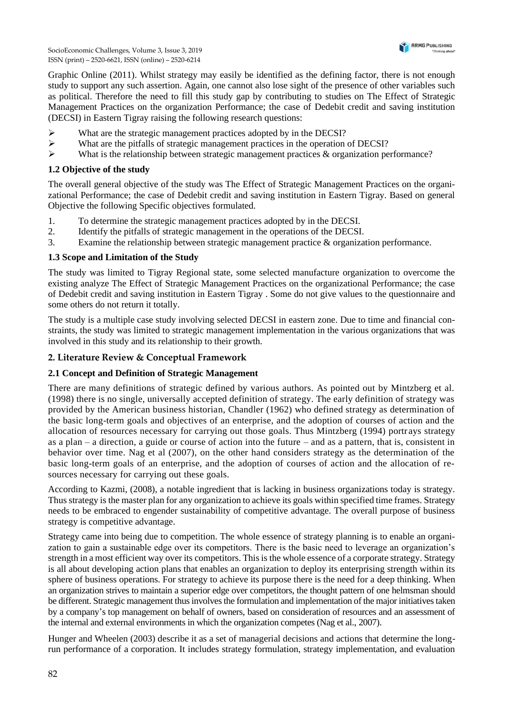

Graphic Online (2011). Whilst strategy may easily be identified as the defining factor, there is not enough study to support any such assertion. Again, one cannot also lose sight of the presence of other variables such as political. Therefore the need to fill this study gap by contributing to studies on The Effect of Strategic Management Practices on the organization Performance; the case of Dedebit credit and saving institution (DECSI) in Eastern Tigray raising the following research questions:

- ➢ What are the strategic management practices adopted by in the DECSI?
- ➢ What are the pitfalls of strategic management practices in the operation of DECSI?
- $\triangleright$  What is the relationship between strategic management practices & organization performance?

#### **1.2 Objective of the study**

The overall general objective of the study was The Effect of Strategic Management Practices on the organizational Performance; the case of Dedebit credit and saving institution in Eastern Tigray. Based on general Objective the following Specific objectives formulated.

- 1. To determine the strategic management practices adopted by in the DECSI.
- 2. Identify the pitfalls of strategic management in the operations of the DECSI.
- 3. Examine the relationship between strategic management practice & organization performance.

## **1.3 Scope and Limitation of the Study**

The study was limited to Tigray Regional state, some selected manufacture organization to overcome the existing analyze The Effect of Strategic Management Practices on the organizational Performance; the case of Dedebit credit and saving institution in Eastern Tigray . Some do not give values to the questionnaire and some others do not return it totally.

The study is a multiple case study involving selected DECSI in eastern zone. Due to time and financial constraints, the study was limited to strategic management implementation in the various organizations that was involved in this study and its relationship to their growth.

# **2. Literature Review & Conceptual Framework**

# **2.1 Concept and Definition of Strategic Management**

There are many definitions of strategic defined by various authors. As pointed out by Mintzberg et al. (1998) there is no single, universally accepted definition of strategy. The early definition of strategy was provided by the American business historian, Chandler (1962) who defined strategy as determination of the basic long-term goals and objectives of an enterprise, and the adoption of courses of action and the allocation of resources necessary for carrying out those goals. Thus Mintzberg (1994) portr ays strategy as a plan – a direction, a guide or course of action into the future – and as a pattern, that is, consistent in behavior over time. Nag et al (2007), on the other hand considers strategy as the determination of the basic long-term goals of an enterprise, and the adoption of courses of action and the allocation of resources necessary for carrying out these goals.

According to Kazmi, (2008), a notable ingredient that is lacking in business organizations today is strategy. Thus strategy is the master plan for any organization to achieve its goals within specified time frames. Strategy needs to be embraced to engender sustainability of competitive advantage. The overall purpose of business strategy is competitive advantage.

Strategy came into being due to competition. The whole essence of strategy planning is to enable an organization to gain a sustainable edge over its competitors. There is the basic need to leverage an organization's strength in a most efficient way over its competitors. This is the whole essence of a corporate strategy. Strategy is all about developing action plans that enables an organization to deploy its enterprising strength within its sphere of business operations. For strategy to achieve its purpose there is the need for a deep thinking. When an organization strives to maintain a superior edge over competitors, the thought pattern of one helmsman should be different. Strategic management thus involves the formulation and implementation of the major initiatives taken by a company's top management on behalf of owners, based on consideration of resources and an assessment of the internal and external environments in which the organization competes (Nag et al., 2007).

Hunger and Wheelen (2003) describe it as a set of managerial decisions and actions that determine the longrun performance of a corporation. It includes strategy formulation, strategy implementation, and evaluation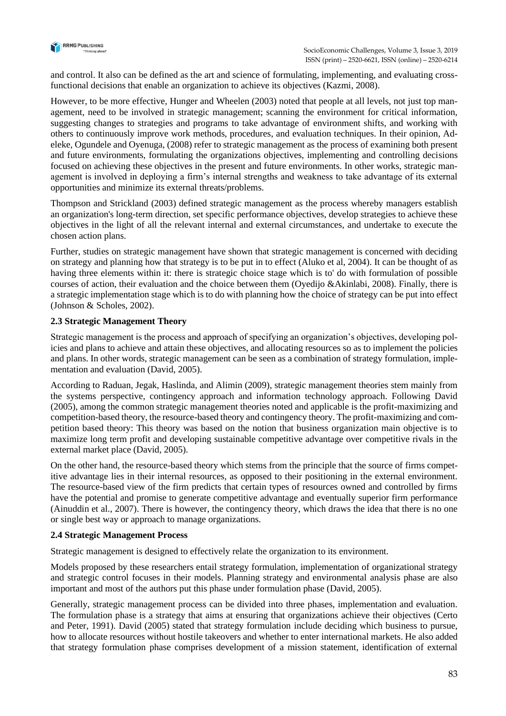

and control. It also can be defined as the art and science of formulating, implementing, and evaluating crossfunctional decisions that enable an organization to achieve its objectives (Kazmi, 2008).

However, to be more effective, Hunger and Wheelen (2003) noted that people at all levels, not just top management, need to be involved in strategic management; scanning the environment for critical information, suggesting changes to strategies and programs to take advantage of environment shifts, and working with others to continuously improve work methods, procedures, and evaluation techniques. In their opinion, Adeleke, Ogundele and Oyenuga, (2008) refer to strategic management as the process of examining both present and future environments, formulating the organizations objectives, implementing and controlling decisions focused on achieving these objectives in the present and future environments. In other works, strategic management is involved in deploying a firm's internal strengths and weakness to take advantage of its external opportunities and minimize its external threats/problems.

Thompson and Strickland (2003) defined strategic management as the process whereby managers establish an organization's long-term direction, set specific performance objectives, develop strategies to achieve these objectives in the light of all the relevant internal and external circumstances, and undertake to execute the chosen action plans.

Further, studies on strategic management have shown that strategic management is concerned with deciding on strategy and planning how that strategy is to be put in to effect (Aluko et al, 2004). It can be thought of as having three elements within it: there is strategic choice stage which is to' do with formulation of possible courses of action, their evaluation and the choice between them (Oyedijo &Akinlabi, 2008). Finally, there is a strategic implementation stage which is to do with planning how the choice of strategy can be put into effect (Johnson & Scholes, 2002).

# **2.3 Strategic Management Theory**

Strategic management is the process and approach of specifying an organization's objectives, developing policies and plans to achieve and attain these objectives, and allocating resources so as to implement the policies and plans. In other words, strategic management can be seen as a combination of strategy formulation, implementation and evaluation (David, 2005).

According to Raduan, Jegak, Haslinda, and Alimin (2009), strategic management theories stem mainly from the systems perspective, contingency approach and information technology approach. Following David (2005), among the common strategic management theories noted and applicable is the profit-maximizing and competition-based theory, the resource-based theory and contingency theory. The profit-maximizing and competition based theory: This theory was based on the notion that business organization main objective is to maximize long term profit and developing sustainable competitive advantage over competitive rivals in the external market place (David, 2005).

On the other hand, the resource-based theory which stems from the principle that the source of firms competitive advantage lies in their internal resources, as opposed to their positioning in the external environment. The resource-based view of the firm predicts that certain types of resources owned and controlled by firms have the potential and promise to generate competitive advantage and eventually superior firm performance (Ainuddin et al., 2007). There is however, the contingency theory, which draws the idea that there is no one or single best way or approach to manage organizations.

#### **2.4 Strategic Management Process**

Strategic management is designed to effectively relate the organization to its environment.

Models proposed by these researchers entail strategy formulation, implementation of organizational strategy and strategic control focuses in their models. Planning strategy and environmental analysis phase are also important and most of the authors put this phase under formulation phase (David, 2005).

Generally, strategic management process can be divided into three phases, implementation and evaluation. The formulation phase is a strategy that aims at ensuring that organizations achieve their objectives (Certo and Peter, 1991). David (2005) stated that strategy formulation include deciding which business to pursue, how to allocate resources without hostile takeovers and whether to enter international markets. He also added that strategy formulation phase comprises development of a mission statement, identification of external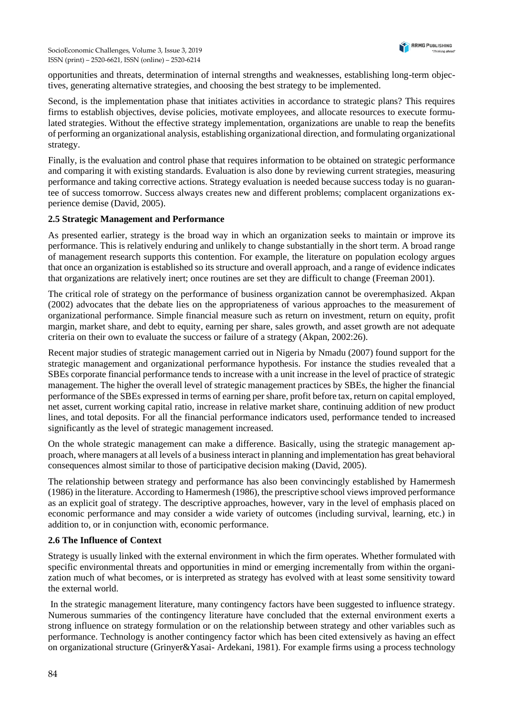opportunities and threats, determination of internal strengths and weaknesses, establishing long-term objectives, generating alternative strategies, and choosing the best strategy to be implemented.

Second, is the implementation phase that initiates activities in accordance to strategic plans? This requires firms to establish objectives, devise policies, motivate employees, and allocate resources to execute formulated strategies. Without the effective strategy implementation, organizations are unable to reap the benefits of performing an organizational analysis, establishing organizational direction, and formulating organizational strategy.

Finally, is the evaluation and control phase that requires information to be obtained on strategic performance and comparing it with existing standards. Evaluation is also done by reviewing current strategies, measuring performance and taking corrective actions. Strategy evaluation is needed because success today is no guarantee of success tomorrow. Success always creates new and different problems; complacent organizations experience demise (David, 2005).

## **2.5 Strategic Management and Performance**

As presented earlier, strategy is the broad way in which an organization seeks to maintain or improve its performance. This is relatively enduring and unlikely to change substantially in the short term. A broad range of management research supports this contention. For example, the literature on population ecology argues that once an organization is established so its structure and overall approach, and a range of evidence indicates that organizations are relatively inert; once routines are set they are difficult to change (Freeman 2001).

The critical role of strategy on the performance of business organization cannot be overemphasized. Akpan (2002) advocates that the debate lies on the appropriateness of various approaches to the measurement of organizational performance. Simple financial measure such as return on investment, return on equity, profit margin, market share, and debt to equity, earning per share, sales growth, and asset growth are not adequate criteria on their own to evaluate the success or failure of a strategy (Akpan, 2002:26).

Recent major studies of strategic management carried out in Nigeria by Nmadu (2007) found support for the strategic management and organizational performance hypothesis. For instance the studies revealed that a SBEs corporate financial performance tends to increase with a unit increase in the level of practice of strategic management. The higher the overall level of strategic management practices by SBEs, the higher the financial performance of the SBEs expressed in terms of earning per share, profit before tax, return on capital employed, net asset, current working capital ratio, increase in relative market share, continuing addition of new product lines, and total deposits. For all the financial performance indicators used, performance tended to increased significantly as the level of strategic management increased.

On the whole strategic management can make a difference. Basically, using the strategic management approach, where managers at all levels of a business interact in planning and implementation has great behavioral consequences almost similar to those of participative decision making (David, 2005).

The relationship between strategy and performance has also been convincingly established by Hamermesh (1986) in the literature. According to Hamermesh (1986), the prescriptive school views improved performance as an explicit goal of strategy. The descriptive approaches, however, vary in the level of emphasis placed on economic performance and may consider a wide variety of outcomes (including survival, learning, etc.) in addition to, or in conjunction with, economic performance.

#### **2.6 The Influence of Context**

Strategy is usually linked with the external environment in which the firm operates. Whether formulated with specific environmental threats and opportunities in mind or emerging incrementally from within the organization much of what becomes, or is interpreted as strategy has evolved with at least some sensitivity toward the external world.

In the strategic management literature, many contingency factors have been suggested to influence strategy. Numerous summaries of the contingency literature have concluded that the external environment exerts a strong influence on strategy formulation or on the relationship between strategy and other variables such as performance. Technology is another contingency factor which has been cited extensively as having an effect on organizational structure (Grinyer&Yasai- Ardekani, 1981). For example firms using a process technology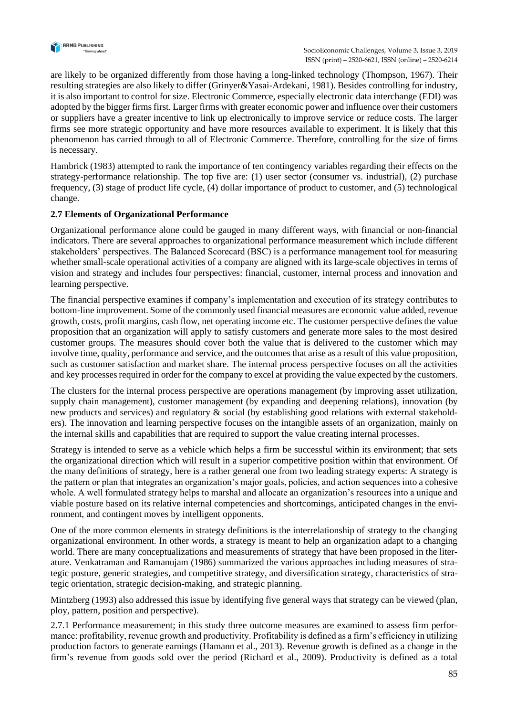

are likely to be organized differently from those having a long-linked technology (Thompson, 1967). Their resulting strategies are also likely to differ (Grinyer&Yasai-Ardekani, 1981). Besides controlling for industry, it is also important to control for size. Electronic Commerce, especially electronic data interchange (EDI) was adopted by the bigger firms first. Larger firms with greater economic power and influence over their customers or suppliers have a greater incentive to link up electronically to improve service or reduce costs. The larger firms see more strategic opportunity and have more resources available to experiment. It is likely that this phenomenon has carried through to all of Electronic Commerce. Therefore, controlling for the size of firms is necessary.

Hambrick (1983) attempted to rank the importance of ten contingency variables regarding their effects on the strategy-performance relationship. The top five are: (1) user sector (consumer vs. industrial), (2) purchase frequency, (3) stage of product life cycle, (4) dollar importance of product to customer, and (5) technological change.

## **2.7 Elements of Organizational Performance**

Organizational performance alone could be gauged in many different ways, with financial or non-financial indicators. There are several approaches to organizational performance measurement which include different stakeholders' perspectives. The Balanced Scorecard (BSC) is a performance management tool for measuring whether small-scale operational activities of a company are aligned with its large-scale objectives in terms of vision and strategy and includes four perspectives: financial, customer, internal process and innovation and learning perspective.

The financial perspective examines if company's implementation and execution of its strategy contributes to bottom-line improvement. Some of the commonly used financial measures are economic value added, revenue growth, costs, profit margins, cash flow, net operating income etc. The customer perspective defines the value proposition that an organization will apply to satisfy customers and generate more sales to the most desired customer groups. The measures should cover both the value that is delivered to the customer which may involve time, quality, performance and service, and the outcomes that arise as a result of this value proposition, such as customer satisfaction and market share. The internal process perspective focuses on all the activities and key processes required in order for the company to excel at providing the value expected by the customers.

The clusters for the internal process perspective are operations management (by improving asset utilization, supply chain management), customer management (by expanding and deepening relations), innovation (by new products and services) and regulatory & social (by establishing good relations with external stakeholders). The innovation and learning perspective focuses on the intangible assets of an organization, mainly on the internal skills and capabilities that are required to support the value creating internal processes.

Strategy is intended to serve as a vehicle which helps a firm be successful within its environment; that sets the organizational direction which will result in a superior competitive position within that environment. Of the many definitions of strategy, here is a rather general one from two leading strategy experts: A strategy is the pattern or plan that integrates an organization's major goals, policies, and action sequences into a cohesive whole. A well formulated strategy helps to marshal and allocate an organization's resources into a unique and viable posture based on its relative internal competencies and shortcomings, anticipated changes in the environment, and contingent moves by intelligent opponents.

One of the more common elements in strategy definitions is the interrelationship of strategy to the changing organizational environment. In other words, a strategy is meant to help an organization adapt to a changing world. There are many conceptualizations and measurements of strategy that have been proposed in the literature. Venkatraman and Ramanujam (1986) summarized the various approaches including measures of strategic posture, generic strategies, and competitive strategy, and diversification strategy, characteristics of strategic orientation, strategic decision-making, and strategic planning.

Mintzberg (1993) also addressed this issue by identifying five general ways that strategy can be viewed (plan, ploy, pattern, position and perspective).

2.7.1 Performance measurement; in this study three outcome measures are examined to assess firm performance: profitability, revenue growth and productivity. Profitability is defined as a firm's efficiency in utilizing production factors to generate earnings (Hamann et al., 2013). Revenue growth is defined as a change in the firm's revenue from goods sold over the period (Richard et al., 2009). Productivity is defined as a total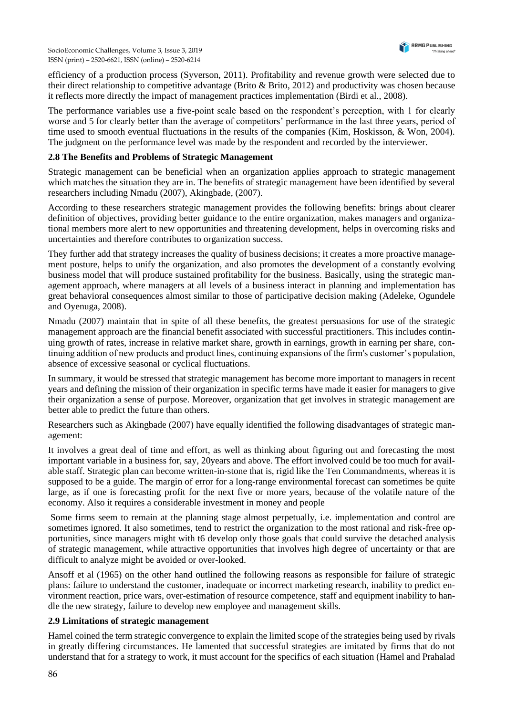efficiency of a production process (Syverson, 2011). Profitability and revenue growth were selected due to their direct relationship to competitive advantage (Brito & Brito, 2012) and productivity was chosen because it reflects more directly the impact of management practices implementation (Birdi et al., 2008).

The performance variables use a five-point scale based on the respondent's perception, with 1 for clearly worse and 5 for clearly better than the average of competitors' performance in the last three years, period of time used to smooth eventual fluctuations in the results of the companies (Kim, Hoskisson, & Won, 2004). The judgment on the performance level was made by the respondent and recorded by the interviewer.

#### **2.8 The Benefits and Problems of Strategic Management**

Strategic management can be beneficial when an organization applies approach to strategic management which matches the situation they are in. The benefits of strategic management have been identified by several researchers including Nmadu (2007), Akingbade, (2007).

According to these researchers strategic management provides the following benefits: brings about clearer definition of objectives, providing better guidance to the entire organization, makes managers and organizational members more alert to new opportunities and threatening development, helps in overcoming risks and uncertainties and therefore contributes to organization success.

They further add that strategy increases the quality of business decisions; it creates a more proactive management posture, helps to unify the organization, and also promotes the development of a constantly evolving business model that will produce sustained profitability for the business. Basically, using the strategic management approach, where managers at all levels of a business interact in planning and implementation has great behavioral consequences almost similar to those of participative decision making (Adeleke, Ogundele and Oyenuga, 2008).

Nmadu (2007) maintain that in spite of all these benefits, the greatest persuasions for use of the strategic management approach are the financial benefit associated with successful practitioners. This includes continuing growth of rates, increase in relative market share, growth in earnings, growth in earning per share, continuing addition of new products and product lines, continuing expansions of the firm's customer's population, absence of excessive seasonal or cyclical fluctuations.

In summary, it would be stressed that strategic management has become more important to managers in recent years and defining the mission of their organization in specific terms have made it easier for managers to give their organization a sense of purpose. Moreover, organization that get involves in strategic management are better able to predict the future than others.

Researchers such as Akingbade (2007) have equally identified the following disadvantages of strategic management:

It involves a great deal of time and effort, as well as thinking about figuring out and forecasting the most important variable in a business for, say, 20years and above. The effort involved could be too much for available staff. Strategic plan can become written-in-stone that is, rigid like the Ten Commandments, whereas it is supposed to be a guide. The margin of error for a long-range environmental forecast can sometimes be quite large, as if one is forecasting profit for the next five or more years, because of the volatile nature of the economy. Also it requires a considerable investment in money and people

Some firms seem to remain at the planning stage almost perpetually, i.e. implementation and control are sometimes ignored. It also sometimes, tend to restrict the organization to the most rational and risk-free opportunities, since managers might with t6 develop only those goals that could survive the detached analysis of strategic management, while attractive opportunities that involves high degree of uncertainty or that are difficult to analyze might be avoided or over-looked.

Ansoff et al (1965) on the other hand outlined the following reasons as responsible for failure of strategic plans: failure to understand the customer, inadequate or incorrect marketing research, inability to predict environment reaction, price wars, over-estimation of resource competence, staff and equipment inability to handle the new strategy, failure to develop new employee and management skills.

#### **2.9 Limitations of strategic management**

Hamel coined the term strategic convergence to explain the limited scope of the strategies being used by rivals in greatly differing circumstances. He lamented that successful strategies are imitated by firms that do not understand that for a strategy to work, it must account for the specifics of each situation (Hamel and Prahalad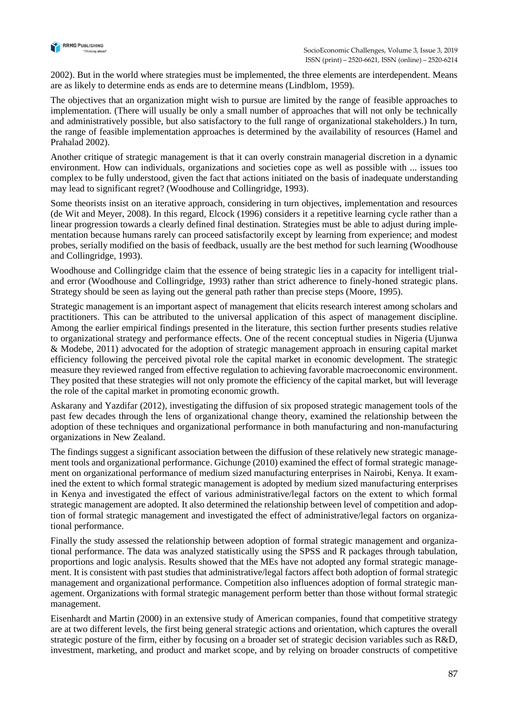

2002). But in the world where strategies must be implemented, the three elements are interdependent. Means are as likely to determine ends as ends are to determine means (Lindblom, 1959).

The objectives that an organization might wish to pursue are limited by the range of feasible approaches to implementation. (There will usually be only a small number of approaches that will not only be technically and administratively possible, but also satisfactory to the full range of organizational stakeholders.) In turn, the range of feasible implementation approaches is determined by the availability of resources (Hamel and Prahalad 2002).

Another critique of strategic management is that it can overly constrain managerial discretion in a dynamic environment. How can individuals, organizations and societies cope as well as possible with ... issues too complex to be fully understood, given the fact that actions initiated on the basis of inadequate understanding may lead to significant regret? (Woodhouse and Collingridge, 1993).

Some theorists insist on an iterative approach, considering in turn objectives, implementation and resources (de Wit and Meyer, 2008). In this regard, Elcock (1996) considers it a repetitive learning cycle rather than a linear progression towards a clearly defined final destination. Strategies must be able to adjust during implementation because humans rarely can proceed satisfactorily except by learning from experience; and modest probes, serially modified on the basis of feedback, usually are the best method for such learning (Woodhouse and Collingridge, 1993).

Woodhouse and Collingridge claim that the essence of being strategic lies in a capacity for intelligent trialand error (Woodhouse and Collingridge, 1993) rather than strict adherence to finely-honed strategic plans. Strategy should be seen as laying out the general path rather than precise steps (Moore, 1995).

Strategic management is an important aspect of management that elicits research interest among scholars and practitioners. This can be attributed to the universal application of this aspect of management discipline. Among the earlier empirical findings presented in the literature, this section further presents studies relative to organizational strategy and performance effects. One of the recent conceptual studies in Nigeria (Ujunwa & Modebe, 2011) advocated for the adoption of strategic management approach in ensuring capital market efficiency following the perceived pivotal role the capital market in economic development. The strategic measure they reviewed ranged from effective regulation to achieving favorable macroeconomic environment. They posited that these strategies will not only promote the efficiency of the capital market, but will leverage the role of the capital market in promoting economic growth.

Askarany and Yazdifar (2012), investigating the diffusion of six proposed strategic management tools of the past few decades through the lens of organizational change theory, examined the relationship between the adoption of these techniques and organizational performance in both manufacturing and non-manufacturing organizations in New Zealand.

The findings suggest a significant association between the diffusion of these relatively new strategic management tools and organizational performance. Gichunge (2010) examined the effect of formal strategic management on organizational performance of medium sized manufacturing enterprises in Nairobi, Kenya. It examined the extent to which formal strategic management is adopted by medium sized manufacturing enterprises in Kenya and investigated the effect of various administrative/legal factors on the extent to which formal strategic management are adopted. It also determined the relationship between level of competition and adoption of formal strategic management and investigated the effect of administrative/legal factors on organizational performance.

Finally the study assessed the relationship between adoption of formal strategic management and organizational performance. The data was analyzed statistically using the SPSS and R packages through tabulation, proportions and logic analysis. Results showed that the MEs have not adopted any formal strategic management. It is consistent with past studies that administrative/legal factors affect both adoption of formal strategic management and organizational performance. Competition also influences adoption of formal strategic management. Organizations with formal strategic management perform better than those without formal strategic management.

Eisenhardt and Martin (2000) in an extensive study of American companies, found that competitive strategy are at two different levels, the first being general strategic actions and orientation, which captures the overall strategic posture of the firm, either by focusing on a broader set of strategic decision variables such as R&D, investment, marketing, and product and market scope, and by relying on broader constructs of competitive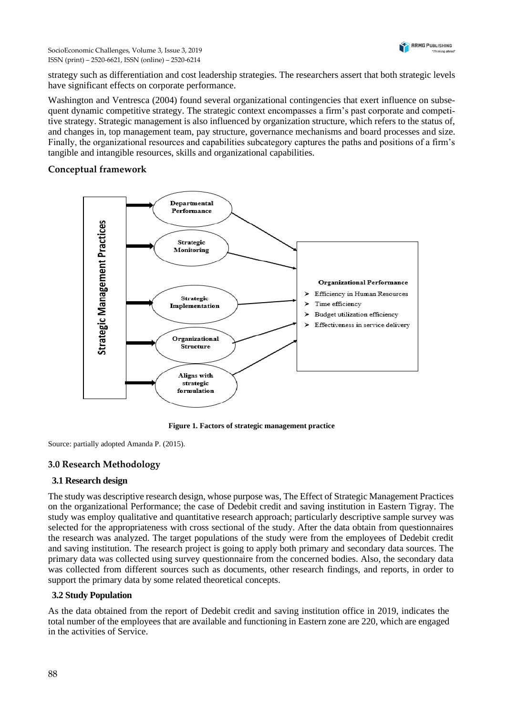strategy such as differentiation and cost leadership strategies. The researchers assert that both strategic levels have significant effects on corporate performance.

Washington and Ventresca (2004) found several organizational contingencies that exert influence on subsequent dynamic competitive strategy. The strategic context encompasses a firm's past corporate and competitive strategy. Strategic management is also influenced by organization structure, which refers to the status of, and changes in, top management team, pay structure, governance mechanisms and board processes and size. Finally, the organizational resources and capabilities subcategory captures the paths and positions of a firm's tangible and intangible resources, skills and organizational capabilities.

# **Conceptual framework**



**Figure 1. Factors of strategic management practice**

Source: partially adopted Amanda P. (2015).

# **3.0 Research Methodology**

# **3.1 Research design**

The study was descriptive research design, whose purpose was, The Effect of Strategic Management Practices on the organizational Performance; the case of Dedebit credit and saving institution in Eastern Tigray. The study was employ qualitative and quantitative research approach; particularly descriptive sample survey was selected for the appropriateness with cross sectional of the study. After the data obtain from questionnaires the research was analyzed. The target populations of the study were from the employees of Dedebit credit and saving institution. The research project is going to apply both primary and secondary data sources. The primary data was collected using survey questionnaire from the concerned bodies. Also, the secondary data was collected from different sources such as documents, other research findings, and reports, in order to support the primary data by some related theoretical concepts.

# **3.2 Study Population**

As the data obtained from the report of Dedebit credit and saving institution office in 2019, indicates the total number of the employees that are available and functioning in Eastern zone are 220, which are engaged in the activities of Service.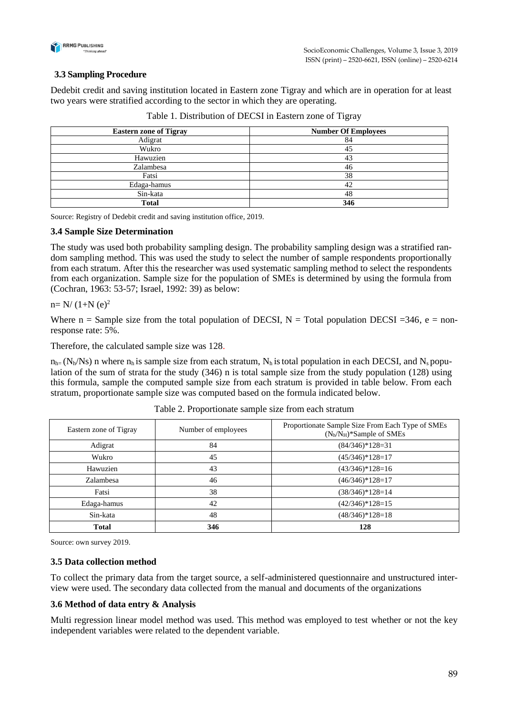

# **3.3 Sampling Procedure**

Dedebit credit and saving institution located in Eastern zone Tigray and which are in operation for at least two years were stratified according to the sector in which they are operating.

| <b>Eastern zone of Tigray</b> | <b>Number Of Employees</b> |
|-------------------------------|----------------------------|
| Adigrat                       | 84                         |
| Wukro                         | 45                         |
| Hawuzien                      | 43                         |
| Zalambesa                     | 46                         |
| Fatsi                         | 38                         |
| Edaga-hamus                   | 42                         |
| Sin-kata                      | 48                         |
| <b>Total</b>                  | 346                        |

Table 1. Distribution of DECSI in Eastern zone of Tigray

Source: Registry of Dedebit credit and saving institution office, 2019.

#### **3.4 Sample Size Determination**

The study was used both probability sampling design. The probability sampling design was a stratified random sampling method. This was used the study to select the number of sample respondents proportionally from each stratum. After this the researcher was used systematic sampling method to select the respondents from each organization. Sample size for the population of SMEs is determined by using the formula from (Cochran, 1963: 53-57; Israel, 1992: 39) as below:

#### $n=N/(1+N(e)^2)$

Where  $n =$  Sample size from the total population of DECSI,  $N =$  Total population DECSI = 346, e = nonresponse rate: 5%.

Therefore, the calculated sample size was 128.

 $n_{h} = (N_h/N_s)$  n where  $n_h$  is sample size from each stratum,  $N_h$  is total population in each DECSI, and  $N_s$  population of the sum of strata for the study (346) n is total sample size from the study population (128) using this formula, sample the computed sample size from each stratum is provided in table below. From each stratum, proportionate sample size was computed based on the formula indicated below.

| Eastern zone of Tigray | Number of employees | Proportionate Sample Size From Each Type of SMEs<br>$(N_h/N_H)^*$ Sample of SMEs |
|------------------------|---------------------|----------------------------------------------------------------------------------|
| Adigrat                | 84                  | $(84/346)*128=31$                                                                |
| Wukro                  | 45                  | $(45/346)*128=17$                                                                |
| Hawuzien               | 43                  | $(43/346)*128=16$                                                                |
| Zalambesa              | 46                  | $(46/346)*128=17$                                                                |
| Fatsi                  | 38                  | $(38/346)*128=14$                                                                |
| Edaga-hamus            | 42                  | $(42/346)*128=15$                                                                |
| Sin-kata               | 48                  | $(48/346)*128=18$                                                                |
| <b>Total</b>           | 346                 | 128                                                                              |

Table 2. Proportionate sample size from each stratum

Source: own survey 2019.

#### **3.5 Data collection method**

To collect the primary data from the target source, a self-administered questionnaire and unstructured interview were used. The secondary data collected from the manual and documents of the organizations

#### **3.6 Method of data entry & Analysis**

Multi regression linear model method was used. This method was employed to test whether or not the key independent variables were related to the dependent variable.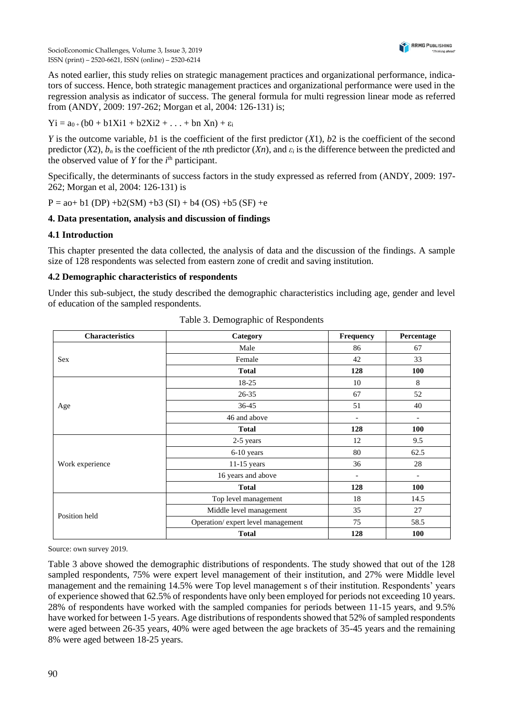

As noted earlier, this study relies on strategic management practices and organizational performance, indicators of success. Hence, both strategic management practices and organizational performance were used in the regression analysis as indicator of success. The general formula for multi regression linear mode as referred from (ANDY, 2009: 197-262; Morgan et al, 2004: 126-131) is;

$$
Yi = a_{0+}(b0 + b1Xi1 + b2Xi2 + ... + bn Xn) + \epsilon_i
$$

*Y* is the outcome variable, *b*1 is the coefficient of the first predictor (*X*1), *b*2 is the coefficient of the second predictor  $(X2)$ ,  $b_n$  is the coefficient of the *n*th predictor  $(Xn)$ , and  $\varepsilon_i$  is the difference between the predicted and the observed value of  $Y$  for the  $i<sup>th</sup>$  participant.

Specifically, the determinants of success factors in the study expressed as referred from (ANDY, 2009: 197- 262; Morgan et al, 2004: 126-131) is

 $P = a_0 + b_1 (DP) + b_2(SM) + b_3 (SI) + b_4 (OS) + b_5 (SF) + e_5 (SF)$ 

#### **4. Data presentation, analysis and discussion of findings**

#### **4.1 Introduction**

This chapter presented the data collected, the analysis of data and the discussion of the findings. A sample size of 128 respondents was selected from eastern zone of credit and saving institution.

#### **4.2 Demographic characteristics of respondents**

Under this sub-subject, the study described the demographic characteristics including age, gender and level of education of the sampled respondents.

| <b>Characteristics</b> | Category                          | Frequency                | Percentage               |
|------------------------|-----------------------------------|--------------------------|--------------------------|
|                        | Male                              | 86                       | 67                       |
| Sex                    | Female                            | 42                       | 33                       |
|                        | <b>Total</b>                      | 128                      | 100                      |
|                        | 18-25                             | 10                       | 8                        |
|                        | 26-35                             | 67                       | 52                       |
| Age                    | 36-45                             | 51                       | 40                       |
|                        | 46 and above                      | $\overline{\phantom{a}}$ |                          |
|                        | <b>Total</b>                      | 128                      | 100                      |
|                        | 2-5 years                         | 12                       | 9.5                      |
|                        | 6-10 years                        | 80                       | 62.5                     |
| Work experience        | $11-15$ years                     | 36                       | 28                       |
|                        | 16 years and above                | $\overline{\phantom{a}}$ | $\overline{\phantom{a}}$ |
|                        | <b>Total</b>                      | 128                      | 100                      |
|                        | Top level management              | 18                       | 14.5                     |
|                        | Middle level management           | 35                       | 27                       |
| Position held          | Operation/expert level management | 75                       | 58.5                     |
|                        | <b>Total</b>                      | 128                      | 100                      |

Table 3. Demographic of Respondents

Source: own survey 2019.

Table 3 above showed the demographic distributions of respondents. The study showed that out of the 128 sampled respondents, 75% were expert level management of their institution, and 27% were Middle level management and the remaining 14.5% were Top level management s of their institution. Respondents' years of experience showed that 62.5% of respondents have only been employed for periods not exceeding 10 years. 28% of respondents have worked with the sampled companies for periods between 11-15 years, and 9.5% have worked for between 1-5 years. Age distributions of respondents showed that 52% of sampled respondents were aged between 26-35 years, 40% were aged between the age brackets of 35-45 years and the remaining 8% were aged between 18-25 years.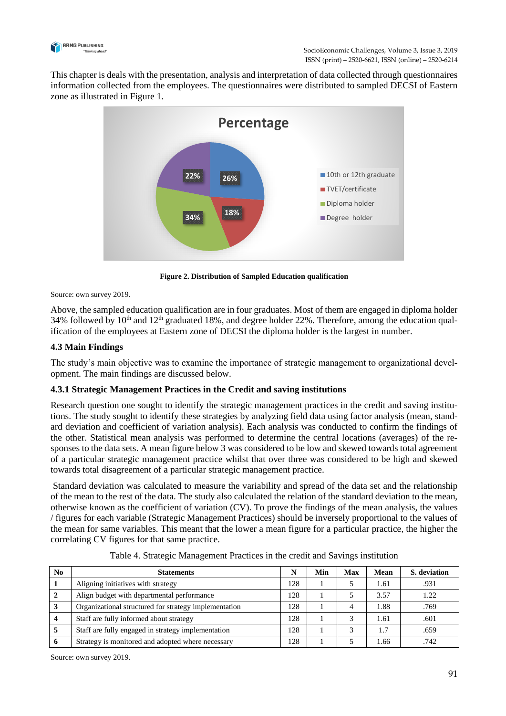

This chapter is deals with the presentation, analysis and interpretation of data collected through questionnaires information collected from the employees. The questionnaires were distributed to sampled DECSI of Eastern zone as illustrated in Figure 1.



**Figure 2. Distribution of Sampled Education qualification**

Source: own survey 2019.

Above, the sampled education qualification are in four graduates. Most of them are engaged in diploma holder 34% followed by  $10<sup>th</sup>$  and  $12<sup>th</sup>$  graduated 18%, and degree holder 22%. Therefore, among the education qualification of the employees at Eastern zone of DECSI the diploma holder is the largest in number.

## **4.3 Main Findings**

The study's main objective was to examine the importance of strategic management to organizational development. The main findings are discussed below.

# **4.3.1 Strategic Management Practices in the Credit and saving institutions**

Research question one sought to identify the strategic management practices in the credit and saving institutions. The study sought to identify these strategies by analyzing field data using factor analysis (mean, standard deviation and coefficient of variation analysis). Each analysis was conducted to confirm the findings of the other. Statistical mean analysis was performed to determine the central locations (averages) of the responses to the data sets. A mean figure below 3 was considered to be low and skewed towards total agreement of a particular strategic management practice whilst that over three was considered to be high and skewed towards total disagreement of a particular strategic management practice.

Standard deviation was calculated to measure the variability and spread of the data set and the relationship of the mean to the rest of the data. The study also calculated the relation of the standard deviation to the mean, otherwise known as the coefficient of variation (CV). To prove the findings of the mean analysis, the values / figures for each variable (Strategic Management Practices) should be inversely proportional to the values of the mean for same variables. This meant that the lower a mean figure for a particular practice, the higher the correlating CV figures for that same practice.

| N <sub>0</sub> | <b>Statements</b>                                     | N   | Min | <b>Max</b> | <b>Mean</b> | S. deviation |
|----------------|-------------------------------------------------------|-----|-----|------------|-------------|--------------|
|                | Aligning initiatives with strategy                    | 128 |     |            | 1.61        | .931         |
|                | Align budget with departmental performance            | 128 |     |            | 3.57        | 1.22         |
|                | Organizational structured for strategy implementation | 128 |     |            | 1.88        | .769         |
|                | Staff are fully informed about strategy               | 128 |     |            | 1.61        | .601         |
|                | Staff are fully engaged in strategy implementation    | 128 |     |            |             | .659         |
|                | Strategy is monitored and adopted where necessary     | 128 |     |            | 1.66        | .742         |

Table 4. Strategic Management Practices in the credit and Savings institution

Source: own survey 2019.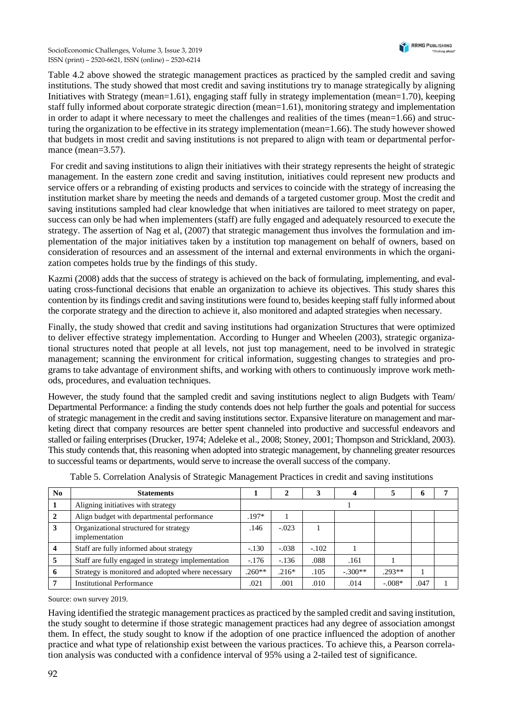SocioEconomic Challenges, Volume 3, Issue 3, 2019 ISSN (print) – 2520-6621, ISSN (online) – 2520-6214

Table 4.2 above showed the strategic management practices as practiced by the sampled credit and saving institutions. The study showed that most credit and saving institutions try to manage strategically by aligning Initiatives with Strategy (mean=1.61), engaging staff fully in strategy implementation (mean=1.70), keeping staff fully informed about corporate strategic direction (mean=1.61), monitoring strategy and implementation in order to adapt it where necessary to meet the challenges and realities of the times (mean=1.66) and structuring the organization to be effective in its strategy implementation (mean=1.66). The study however showed that budgets in most credit and saving institutions is not prepared to align with team or departmental performance (mean=3.57).

For credit and saving institutions to align their initiatives with their strategy represents the height of strategic management. In the eastern zone credit and saving institution, initiatives could represent new products and service offers or a rebranding of existing products and services to coincide with the strategy of increasing the institution market share by meeting the needs and demands of a targeted customer group. Most the credit and saving institutions sampled had clear knowledge that when initiatives are tailored to meet strategy on paper, success can only be had when implementers (staff) are fully engaged and adequately resourced to execute the strategy. The assertion of Nag et al, (2007) that strategic management thus involves the formulation and implementation of the major initiatives taken by a institution top management on behalf of owners, based on consideration of resources and an assessment of the internal and external environments in which the organization competes holds true by the findings of this study.

Kazmi (2008) adds that the success of strategy is achieved on the back of formulating, implementing, and evaluating cross-functional decisions that enable an organization to achieve its objectives. This study shares this contention by its findings credit and saving institutions were found to, besides keeping staff fully informed about the corporate strategy and the direction to achieve it, also monitored and adapted strategies when necessary.

Finally, the study showed that credit and saving institutions had organization Structures that were optimized to deliver effective strategy implementation. According to Hunger and Wheelen (2003), strategic organizational structures noted that people at all levels, not just top management, need to be involved in strategic management; scanning the environment for critical information, suggesting changes to strategies and programs to take advantage of environment shifts, and working with others to continuously improve work methods, procedures, and evaluation techniques.

However, the study found that the sampled credit and saving institutions neglect to align Budgets with Team/ Departmental Performance: a finding the study contends does not help further the goals and potential for success of strategic management in the credit and saving institutions sector. Expansive literature on management and marketing direct that company resources are better spent channeled into productive and successful endeavors and stalled or failing enterprises (Drucker, 1974; Adeleke et al., 2008; Stoney, 2001; Thompson and Strickland, 2003). This study contends that, this reasoning when adopted into strategic management, by channeling greater resources to successful teams or departments, would serve to increase the overall success of the company.

| No           | <b>Statements</b>                                        |          |         | 3       |           |          | o    |  |
|--------------|----------------------------------------------------------|----------|---------|---------|-----------|----------|------|--|
|              | Aligning initiatives with strategy                       |          |         |         |           |          |      |  |
| $\mathbf{2}$ | Align budget with departmental performance               | $.197*$  |         |         |           |          |      |  |
| 3            | Organizational structured for strategy<br>implementation | .146     | $-.023$ |         |           |          |      |  |
|              | Staff are fully informed about strategy                  | $-.130$  | $-.038$ | $-.102$ |           |          |      |  |
| $\mathbf{D}$ | Staff are fully engaged in strategy implementation       | $-.176$  | $-136$  | .088    | .161      |          |      |  |
| 6            | Strategy is monitored and adopted where necessary        | $.260**$ | $.216*$ | .105    | $-.300**$ | $.293**$ |      |  |
|              | <b>Institutional Performance</b>                         | .021     | .001    | .010    | .014      | $-.008*$ | .047 |  |

Table 5. Correlation Analysis of Strategic Management Practices in credit and saving institutions

Source: own survey 2019.

Having identified the strategic management practices as practiced by the sampled credit and saving institution, the study sought to determine if those strategic management practices had any degree of association amongst them. In effect, the study sought to know if the adoption of one practice influenced the adoption of another practice and what type of relationship exist between the various practices. To achieve this, a Pearson correlation analysis was conducted with a confidence interval of 95% using a 2-tailed test of significance.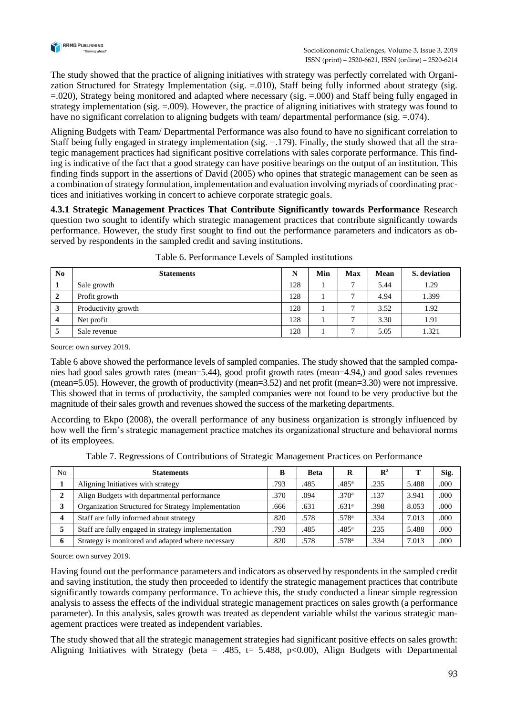

The study showed that the practice of aligning initiatives with strategy was perfectly correlated with Organization Structured for Strategy Implementation (sig. =.010), Staff being fully informed about strategy (sig. =.020), Strategy being monitored and adapted where necessary (sig. =.000) and Staff being fully engaged in strategy implementation (sig. =.009). However, the practice of aligning initiatives with strategy was found to have no significant correlation to aligning budgets with team/ departmental performance (sig. = 074).

Aligning Budgets with Team/ Departmental Performance was also found to have no significant correlation to Staff being fully engaged in strategy implementation (sig.  $=$  179). Finally, the study showed that all the strategic management practices had significant positive correlations with sales corporate performance. This finding is indicative of the fact that a good strategy can have positive bearings on the output of an institution. This finding finds support in the assertions of David (2005) who opines that strategic management can be seen as a combination of strategy formulation, implementation and evaluation involving myriads of coordinating practices and initiatives working in concert to achieve corporate strategic goals.

**4.3.1 Strategic Management Practices That Contribute Significantly towards Performance** Research question two sought to identify which strategic management practices that contribute significantly towards performance. However, the study first sought to find out the performance parameters and indicators as observed by respondents in the sampled credit and saving institutions.

| N <sub>0</sub> | <b>Statements</b>   | N   | Min | <b>Max</b> | Mean | S. deviation |
|----------------|---------------------|-----|-----|------------|------|--------------|
|                | Sale growth         | 128 |     | −          | 5.44 | 1.29         |
| $\mathbf{2}$   | Profit growth       | 128 |     |            | 4.94 | 1.399        |
| 3              | Productivity growth | 128 |     |            | 3.52 | 1.92         |
|                | Net profit          | 128 |     |            | 3.30 | 1.91         |
|                | Sale revenue        | 128 |     |            | 5.05 | 1.321        |

| Table 6. Performance Levels of Sampled institutions |
|-----------------------------------------------------|
|-----------------------------------------------------|

Source: own survey 2019.

Table 6 above showed the performance levels of sampled companies. The study showed that the sampled companies had good sales growth rates (mean=5.44), good profit growth rates (mean=4.94,) and good sales revenues (mean=5.05). However, the growth of productivity (mean=3.52) and net profit (mean=3.30) were not impressive. This showed that in terms of productivity, the sampled companies were not found to be very productive but the magnitude of their sales growth and revenues showed the success of the marketing departments.

According to Ekpo (2008), the overall performance of any business organization is strongly influenced by how well the firm's strategic management practice matches its organizational structure and behavioral norms of its employees.

| N <sub>0</sub>      | <b>Statements</b>                                   | в    | <b>Beta</b> |                   | $\mathbf{R}^2$ |       | Sig. |
|---------------------|-----------------------------------------------------|------|-------------|-------------------|----------------|-------|------|
|                     | Aligning Initiatives with strategy                  | .793 | .485        | .485 <sup>a</sup> | .235           | 5.488 | .000 |
| ∍<br>$\overline{v}$ | Align Budgets with departmental performance         | .370 | .094        | .370 <sup>a</sup> | .137           | 3.941 | .000 |
| 3                   | Organization Structured for Strategy Implementation | .666 | .631        | .631 <sup>a</sup> | .398           | 8.053 | .000 |
|                     | Staff are fully informed about strategy             | .820 | .578        | .578ª             | .334           | 7.013 | .000 |
|                     | Staff are fully engaged in strategy implementation  | .793 | .485        | .485 <sup>a</sup> | .235           | 5.488 | .000 |
| 6                   | Strategy is monitored and adapted where necessary   | .820 | .578        | .578 <sup>a</sup> | .334           | 7.013 | .000 |

Table 7. Regressions of Contributions of Strategic Management Practices on Performance

Source: own survey 2019.

Having found out the performance parameters and indicators as observed by respondents in the sampled credit and saving institution, the study then proceeded to identify the strategic management practices that contribute significantly towards company performance. To achieve this, the study conducted a linear simple regression analysis to assess the effects of the individual strategic management practices on sales growth (a performance parameter). In this analysis, sales growth was treated as dependent variable whilst the various strategic management practices were treated as independent variables.

The study showed that all the strategic management strategies had significant positive effects on sales growth: Aligning Initiatives with Strategy (beta = .485, t= 5.488, p<0.00), Align Budgets with Departmental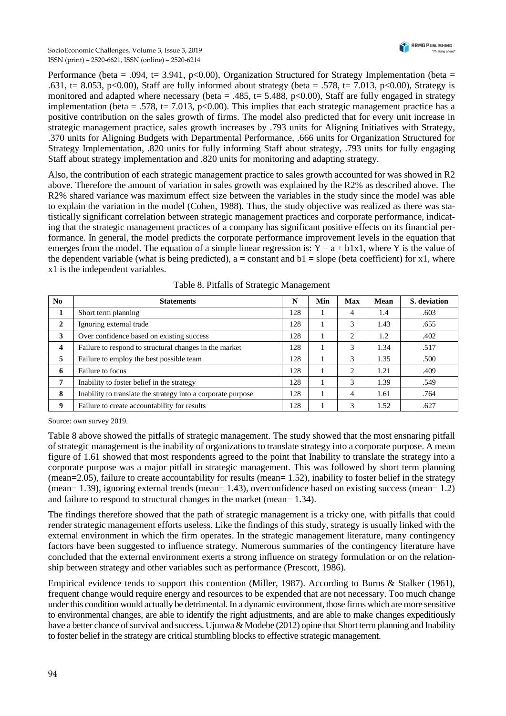

Performance (beta = .094, t= 3.941, p<0.00), Organization Structured for Strategy Implementation (beta = .631, t= 8.053, p<0.00), Staff are fully informed about strategy (beta = .578, t= 7.013, p<0.00), Strategy is monitored and adapted where necessary (beta = .485, t= 5.488, p<0.00), Staff are fully engaged in strategy implementation (beta = .578, t= 7.013, p<0.00). This implies that each strategic management practice has a positive contribution on the sales growth of firms. The model also predicted that for every unit increase in strategic management practice, sales growth increases by .793 units for Aligning Initiatives with Strategy, .370 units for Aligning Budgets with Departmental Performance, .666 units for Organization Structured for Strategy Implementation, .820 units for fully informing Staff about strategy, .793 units for fully engaging Staff about strategy implementation and .820 units for monitoring and adapting strategy.

Also, the contribution of each strategic management practice to sales growth accounted for was showed in R2 above. Therefore the amount of variation in sales growth was explained by the R2% as described above. The R2% shared variance was maximum effect size between the variables in the study since the model was able to explain the variation in the model (Cohen, 1988). Thus, the study objective was realized as there was statistically significant correlation between strategic management practices and corporate performance, indicating that the strategic management practices of a company has significant positive effects on its financial performance. In general, the model predicts the corporate performance improvement levels in the equation that emerges from the model. The equation of a simple linear regression is:  $\tilde{Y} = a + b1x1$ , where Y is the value of the dependent variable (what is being predicted),  $a = constant$  and  $b1 = slope$  (beta coefficient) for x1, where x1 is the independent variables.

| No                      | <b>Statements</b>                                            | N   | Min | <b>Max</b>     | Mean | S. deviation |
|-------------------------|--------------------------------------------------------------|-----|-----|----------------|------|--------------|
|                         | Short term planning                                          | 128 |     | 4              | 1.4  | .603         |
| $\mathbf{2}$            | Ignoring external trade                                      | 128 |     | 3              | 1.43 | .655         |
| 3                       | Over confidence based on existing success                    | 128 |     | 2              | 1.2  | .402         |
| $\overline{\mathbf{4}}$ | Failure to respond to structural changes in the market       | 128 |     | 3              | 1.34 | .517         |
| 5                       | Failure to employ the best possible team                     | 128 |     | 3              | 1.35 | .500         |
| 6                       | Failure to focus                                             | 128 |     | 2              | 1.21 | .409         |
| 7                       | Inability to foster belief in the strategy                   | 128 |     | 3              | 1.39 | .549         |
| 8                       | Inability to translate the strategy into a corporate purpose | 128 |     | $\overline{4}$ | 1.61 | .764         |
| 9                       | Failure to create accountability for results                 | 128 |     | 3              | 1.52 | .627         |

Table 8. Pitfalls of Strategic Management

Source: own survey 2019.

Table 8 above showed the pitfalls of strategic management. The study showed that the most ensnaring pitfall of strategic management is the inability of organizations to translate strategy into a corporate purpose. A mean figure of 1.61 showed that most respondents agreed to the point that Inability to translate the strategy into a corporate purpose was a major pitfall in strategic management. This was followed by short term planning (mean=2.05), failure to create accountability for results (mean= 1.52), inability to foster belief in the strategy (mean= 1.39), ignoring external trends (mean= 1.43), overconfidence based on existing success (mean= 1.2) and failure to respond to structural changes in the market (mean= 1.34).

The findings therefore showed that the path of strategic management is a tricky one, with pitfalls that could render strategic management efforts useless. Like the findings of this study, strategy is usually linked with the external environment in which the firm operates. In the strategic management literature, many contingency factors have been suggested to influence strategy. Numerous summaries of the contingency literature have concluded that the external environment exerts a strong influence on strategy formulation or on the relationship between strategy and other variables such as performance (Prescott, 1986).

Empirical evidence tends to support this contention (Miller, 1987). According to Burns & Stalker (1961), frequent change would require energy and resources to be expended that are not necessary. Too much change under this condition would actually be detrimental. In a dynamic environment, those firms which are more sensitive to environmental changes, are able to identify the right adjustments, and are able to make changes expeditiously have a better chance of survival and success. Ujunwa & Modebe (2012) opine that Short term planning and Inability to foster belief in the strategy are critical stumbling blocks to effective strategic management.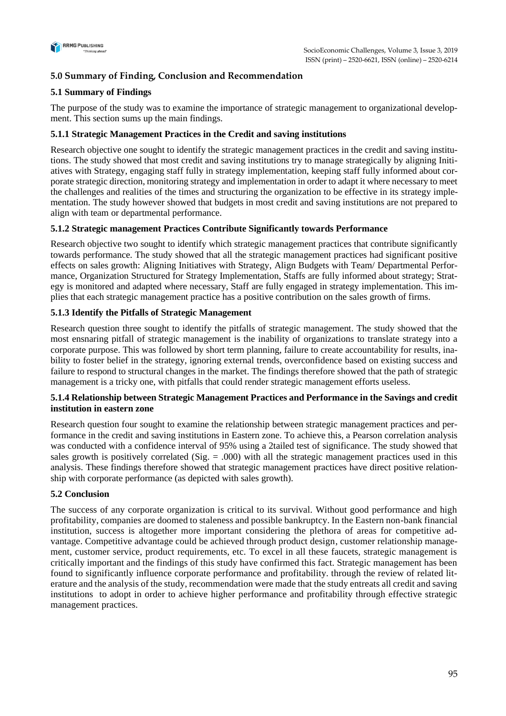

# **5.0 Summary of Finding, Conclusion and Recommendation**

# **5.1 Summary of Findings**

The purpose of the study was to examine the importance of strategic management to organizational development. This section sums up the main findings.

# **5.1.1 Strategic Management Practices in the Credit and saving institutions**

Research objective one sought to identify the strategic management practices in the credit and saving institutions. The study showed that most credit and saving institutions try to manage strategically by aligning Initiatives with Strategy, engaging staff fully in strategy implementation, keeping staff fully informed about corporate strategic direction, monitoring strategy and implementation in order to adapt it where necessary to meet the challenges and realities of the times and structuring the organization to be effective in its strategy implementation. The study however showed that budgets in most credit and saving institutions are not prepared to align with team or departmental performance.

# **5.1.2 Strategic management Practices Contribute Significantly towards Performance**

Research objective two sought to identify which strategic management practices that contribute significantly towards performance. The study showed that all the strategic management practices had significant positive effects on sales growth: Aligning Initiatives with Strategy, Align Budgets with Team/ Departmental Performance, Organization Structured for Strategy Implementation, Staffs are fully informed about strategy; Strategy is monitored and adapted where necessary, Staff are fully engaged in strategy implementation. This implies that each strategic management practice has a positive contribution on the sales growth of firms.

# **5.1.3 Identify the Pitfalls of Strategic Management**

Research question three sought to identify the pitfalls of strategic management. The study showed that the most ensnaring pitfall of strategic management is the inability of organizations to translate strategy into a corporate purpose. This was followed by short term planning, failure to create accountability for results, inability to foster belief in the strategy, ignoring external trends, overconfidence based on existing success and failure to respond to structural changes in the market. The findings therefore showed that the path of strategic management is a tricky one, with pitfalls that could render strategic management efforts useless.

# **5.1.4 Relationship between Strategic Management Practices and Performance in the Savings and credit institution in eastern zone**

Research question four sought to examine the relationship between strategic management practices and performance in the credit and saving institutions in Eastern zone. To achieve this, a Pearson correlation analysis was conducted with a confidence interval of 95% using a 2tailed test of significance. The study showed that sales growth is positively correlated (Sig.  $= .000$ ) with all the strategic management practices used in this analysis. These findings therefore showed that strategic management practices have direct positive relationship with corporate performance (as depicted with sales growth).

# **5.2 Conclusion**

The success of any corporate organization is critical to its survival. Without good performance and high profitability, companies are doomed to staleness and possible bankruptcy. In the Eastern non-bank financial institution, success is altogether more important considering the plethora of areas for competitive advantage. Competitive advantage could be achieved through product design, customer relationship management, customer service, product requirements, etc. To excel in all these faucets, strategic management is critically important and the findings of this study have confirmed this fact. Strategic management has been found to significantly influence corporate performance and profitability. through the review of related literature and the analysis of the study, recommendation were made that the study entreats all credit and saving institutions to adopt in order to achieve higher performance and profitability through effective strategic management practices.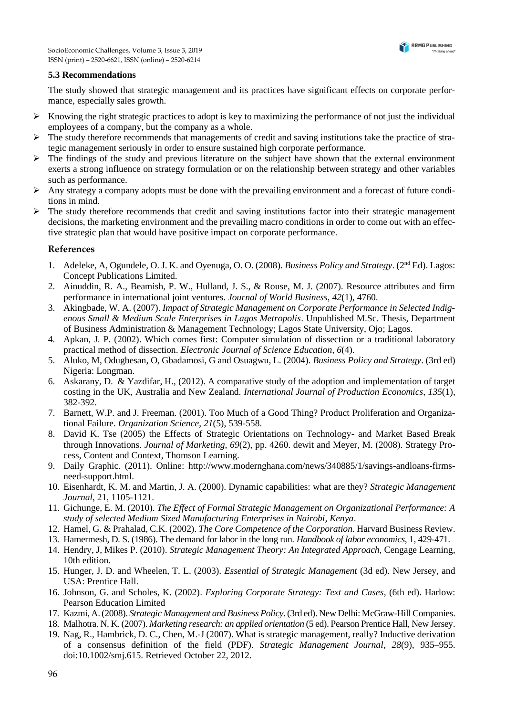#### **5.3 Recommendations**

The study showed that strategic management and its practices have significant effects on corporate performance, especially sales growth.

- $\triangleright$  Knowing the right strategic practices to adopt is key to maximizing the performance of not just the individual employees of a company, but the company as a whole.
- $\triangleright$  The study therefore recommends that managements of credit and saving institutions take the practice of strategic management seriously in order to ensure sustained high corporate performance.
- ➢ The findings of the study and previous literature on the subject have shown that the external environment exerts a strong influence on strategy formulation or on the relationship between strategy and other variables such as performance.
- ➢ Any strategy a company adopts must be done with the prevailing environment and a forecast of future conditions in mind.
- ➢ The study therefore recommends that credit and saving institutions factor into their strategic management decisions, the marketing environment and the prevailing macro conditions in order to come out with an effective strategic plan that would have positive impact on corporate performance.

## **References**

- 1. Adeleke, A, Ogundele, O. J. K. and Oyenuga, O. O. (2008). *Business Policy and Strategy*. (2nd Ed). Lagos: Concept Publications Limited.
- 2. Ainuddin, R. A., Beamish, P. W., Hulland, J. S., & Rouse, M. J. (2007). Resource attributes and firm performance in international joint ventures. *Journal of World Business*, *42*(1), 4760.
- 3. Akingbade, W. A. (2007). *Impact of Strategic Management on Corporate Performance in Selected Indigenous Small & Medium Scale Enterprises in Lagos Metropolis*. Unpublished M.Sc. Thesis, Department of Business Administration & Management Technology; Lagos State University, Ojo; Lagos.
- 4. Apkan, J. P. (2002). Which comes first: Computer simulation of dissection or a traditional laboratory practical method of dissection. *Electronic Journal of Science Education*, *6*(4).
- 5. Aluko, M, Odugbesan, O, Gbadamosi, G and Osuagwu, L. (2004). *Business Policy and Strategy*. (3rd ed) Nigeria: Longman.
- 6. Askarany, D. & Yazdifar, H., (2012). A comparative study of the adoption and implementation of target costing in the UK, Australia and New Zealand. *International Journal of Production Economics*, *135*(1), 382-392.
- 7. Barnett, W.P. and J. Freeman. (2001). Too Much of a Good Thing? Product Proliferation and Organizational Failure. *Organization Science*, *21*(5), 539-558.
- 8. David K. Tse (2005) the Effects of Strategic Orientations on Technology- and Market Based Break through Innovations. *Journal of Marketing*, *69*(2), pp. 4260. dewit and Meyer, M. (2008). Strategy Process, Content and Context, Thomson Learning.
- 9. Daily Graphic. (2011). Online: http://www.modernghana.com/news/340885/1/savings-andloans-firmsneed-support.html.
- 10. Eisenhardt, K. M. and Martin, J. A. (2000). Dynamic capabilities: what are they? *Strategic Management Journal*, 21, 1105-1121.
- 11. Gichunge, E. M. (2010). *The Effect of Formal Strategic Management on Organizational Performance: A study of selected Medium Sized Manufacturing Enterprises in Nairobi, Kenya*.
- 12. Hamel, G. & Prahalad, C.K. (2002). *The Core Competence of the Corporation*. Harvard Business Review.
- 13. Hamermesh, D. S. (1986). The demand for labor in the long run. *Handbook of labor economics*, 1, 429-471.
- 14. Hendry, J, Mikes P. (2010). *Strategic Management Theory: An Integrated Approach*, Cengage Learning, 10th edition.
- 15. Hunger, J. D. and Wheelen, T. L. (2003). *Essential of Strategic Management* (3d ed). New Jersey, and USA: Prentice Hall.
- 16. Johnson, G. and Scholes, K. (2002). *Exploring Corporate Strategy: Text and Cases*, (6th ed). Harlow: Pearson Education Limited
- 17. Kazmi, A. (2008). *Strategic Management and Business Policy*. (3rd ed). New Delhi: McGraw-Hill Companies.
- 18. Malhotra. N. K. (2007). *Marketing research: an applied orientation* (5 ed). Pearson Prentice Hall, New Jersey.
- 19. Nag, R., Hambrick, D. C., Chen, M.-J (2007). What is strategic management, really? Inductive derivation of a consensus definition of the field (PDF). *Strategic Management Journal*, *28*(9), 935–955. doi:10.1002/smj.615. Retrieved October 22, 2012.